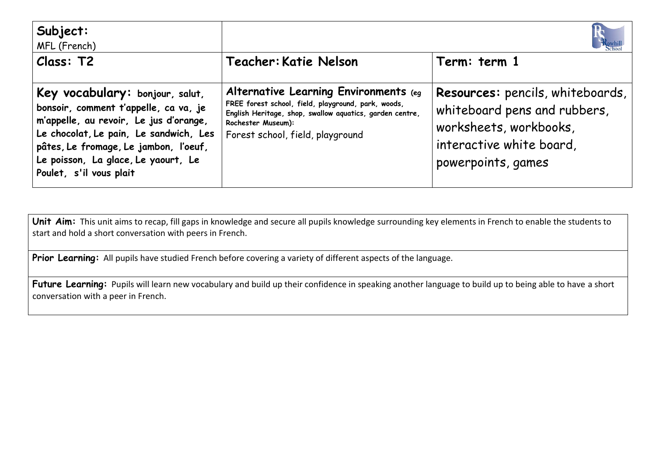| Subject:<br>MFL (French)                                                                                                                                                                                                                                                |                                                                                                                                                                                                                    |                                                                                                                                              |
|-------------------------------------------------------------------------------------------------------------------------------------------------------------------------------------------------------------------------------------------------------------------------|--------------------------------------------------------------------------------------------------------------------------------------------------------------------------------------------------------------------|----------------------------------------------------------------------------------------------------------------------------------------------|
| Class: T2                                                                                                                                                                                                                                                               | Teacher: Katie Nelson                                                                                                                                                                                              | Term: term 1                                                                                                                                 |
| Key vocabulary: bonjour, salut,<br>bonsoir, comment t'appelle, ca va, je<br>m'appelle, au revoir, Le jus d'orange,<br>Le chocolat, Le pain, Le sandwich, Les<br>pâtes, Le fromage, Le jambon, l'oeuf,<br>Le poisson, La glace, Le yaourt, Le<br>Poulet, s'il vous plait | Alternative Learning Environments (eg<br>FREE forest school, field, playground, park, woods,<br>English Heritage, shop, swallow aquatics, garden centre,<br>Rochester Museum):<br>Forest school, field, playground | Resources: pencils, whiteboards,<br>whiteboard pens and rubbers,<br>worksheets, workbooks,<br>interactive white board,<br>powerpoints, games |

Unit Aim: This unit aims to recap, fill gaps in knowledge and secure all pupils knowledge surrounding key elements in French to enable the students to start and hold a short conversation with peers in French.

Prior Learning: All pupils have studied French before covering a variety of different aspects of the language.

Future Learning: Pupils will learn new vocabulary and build up their confidence in speaking another language to build up to being able to have a short conversation with a peer in French.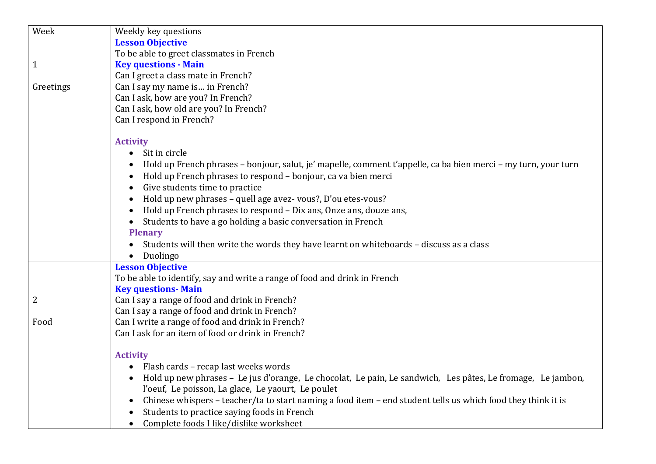| Week         | Weekly key questions                                                                                                      |
|--------------|---------------------------------------------------------------------------------------------------------------------------|
|              | <b>Lesson Objective</b>                                                                                                   |
|              | To be able to greet classmates in French                                                                                  |
| $\mathbf{1}$ | <b>Key questions - Main</b>                                                                                               |
|              | Can I greet a class mate in French?                                                                                       |
| Greetings    | Can I say my name is in French?                                                                                           |
|              | Can I ask, how are you? In French?                                                                                        |
|              | Can I ask, how old are you? In French?                                                                                    |
|              | Can I respond in French?                                                                                                  |
|              |                                                                                                                           |
|              | <b>Activity</b>                                                                                                           |
|              | Sit in circle<br>$\bullet$                                                                                                |
|              | Hold up French phrases - bonjour, salut, je' mapelle, comment t'appelle, ca ba bien merci - my turn, your turn            |
|              | Hold up French phrases to respond - bonjour, ca va bien merci                                                             |
|              | Give students time to practice<br>$\bullet$                                                                               |
|              | Hold up new phrases - quell age avez-vous?, D'ou etes-vous?<br>$\bullet$                                                  |
|              | Hold up French phrases to respond - Dix ans, Onze ans, douze ans,                                                         |
|              | Students to have a go holding a basic conversation in French                                                              |
|              | <b>Plenary</b>                                                                                                            |
|              | Students will then write the words they have learnt on whiteboards - discuss as a class                                   |
|              | Duolingo<br>$\bullet$                                                                                                     |
|              | <b>Lesson Objective</b>                                                                                                   |
|              | To be able to identify, say and write a range of food and drink in French                                                 |
|              | <b>Key questions-Main</b>                                                                                                 |
| 2            | Can I say a range of food and drink in French?                                                                            |
|              | Can I say a range of food and drink in French?                                                                            |
| Food         | Can I write a range of food and drink in French?                                                                          |
|              | Can I ask for an item of food or drink in French?                                                                         |
|              | <b>Activity</b>                                                                                                           |
|              | Flash cards - recap last weeks words                                                                                      |
|              | Hold up new phrases - Le jus d'orange, Le chocolat, Le pain, Le sandwich, Les pâtes, Le fromage, Le jambon,               |
|              |                                                                                                                           |
|              | l'oeuf, Le poisson, La glace, Le yaourt, Le poulet                                                                        |
|              | Chinese whispers - teacher/ta to start naming a food item - end student tells us which food they think it is<br>$\bullet$ |
|              | Students to practice saying foods in French                                                                               |
|              | Complete foods I like/dislike worksheet<br>$\bullet$                                                                      |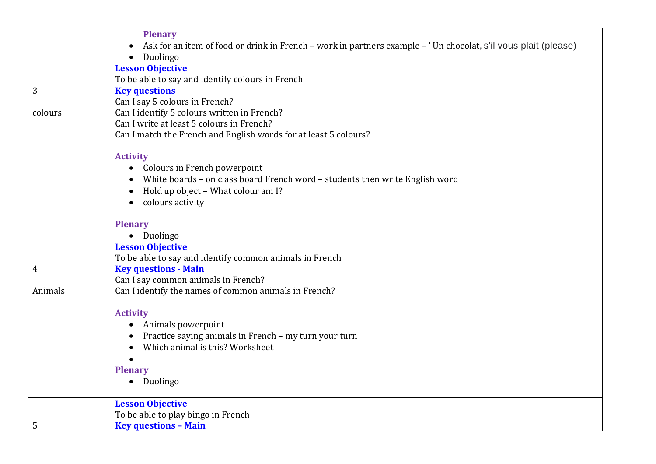|         | <b>Plenary</b>                                                                                                              |
|---------|-----------------------------------------------------------------------------------------------------------------------------|
|         | Ask for an item of food or drink in French – work in partners example – 'Un chocolat, s'il vous plait (please)<br>$\bullet$ |
|         | Duolingo<br>$\bullet$                                                                                                       |
|         | <b>Lesson Objective</b>                                                                                                     |
|         | To be able to say and identify colours in French                                                                            |
| 3       | <b>Key questions</b>                                                                                                        |
|         | Can I say 5 colours in French?                                                                                              |
| colours | Can I identify 5 colours written in French?                                                                                 |
|         | Can I write at least 5 colours in French?                                                                                   |
|         | Can I match the French and English words for at least 5 colours?                                                            |
|         | <b>Activity</b>                                                                                                             |
|         | • Colours in French powerpoint                                                                                              |
|         | White boards - on class board French word - students then write English word                                                |
|         | Hold up object - What colour am I?<br>$\bullet$                                                                             |
|         | colours activity<br>$\bullet$                                                                                               |
|         |                                                                                                                             |
|         | <b>Plenary</b>                                                                                                              |
|         | • Duolingo                                                                                                                  |
|         | <b>Lesson Objective</b>                                                                                                     |
|         | To be able to say and identify common animals in French                                                                     |
| 4       | <b>Key questions - Main</b>                                                                                                 |
|         | Can I say common animals in French?                                                                                         |
| Animals | Can I identify the names of common animals in French?                                                                       |
|         | <b>Activity</b>                                                                                                             |
|         | Animals powerpoint<br>$\bullet$                                                                                             |
|         | Practice saying animals in French - my turn your turn                                                                       |
|         | Which animal is this? Worksheet                                                                                             |
|         |                                                                                                                             |
|         | <b>Plenary</b>                                                                                                              |
|         | • Duolingo                                                                                                                  |
|         | <b>Lesson Objective</b>                                                                                                     |
|         | To be able to play bingo in French                                                                                          |
| 5       | <b>Key questions - Main</b>                                                                                                 |